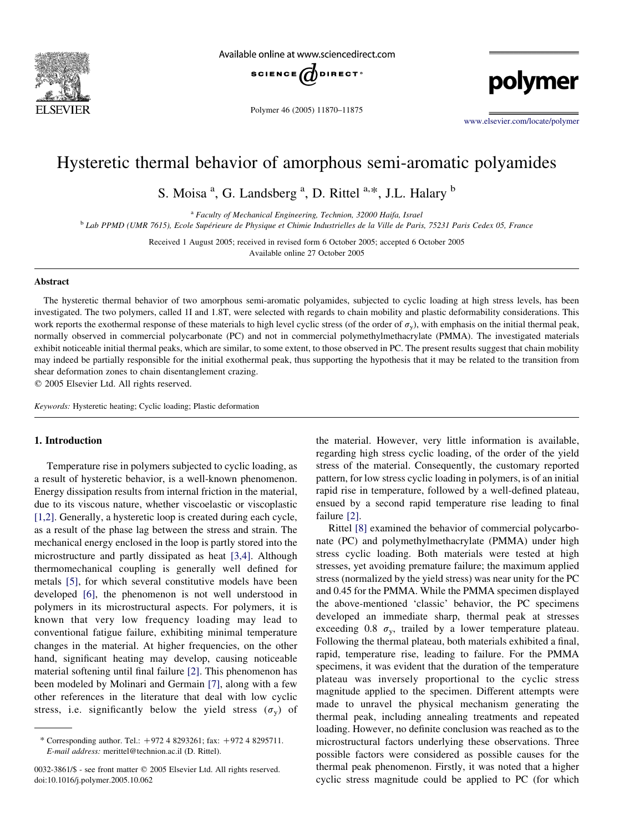

Available online at www.sciencedirect.com



Polymer 46 (2005) 11870–11875

polymer

[www.elsevier.com/locate/polymer](http://www.elsevier.com/locate/polymer)

# Hysteretic thermal behavior of amorphous semi-aromatic polyamides

S. Moisa<sup>a</sup>, G. Landsberg<sup>a</sup>, D. Rittel<sup>a,\*</sup>, J.L. Halary<sup>b</sup>

<sup>a</sup> Faculty of Mechanical Engineering, Technion, 32000 Haifa, Israel

<sup>b</sup> Lab PPMD (UMR 7615), Ecole Supérieure de Physique et Chimie Industrielles de la Ville de Paris, 75231 Paris Cedex 05, France

Received 1 August 2005; received in revised form 6 October 2005; accepted 6 October 2005 Available online 27 October 2005

#### Abstract

The hysteretic thermal behavior of two amorphous semi-aromatic polyamides, subjected to cyclic loading at high stress levels, has been investigated. The two polymers, called 1I and 1.8T, were selected with regards to chain mobility and plastic deformability considerations. This work reports the exothermal response of these materials to high level cyclic stress (of the order of  $\sigma_{\rm v}$ ), with emphasis on the initial thermal peak, normally observed in commercial polycarbonate (PC) and not in commercial polymethylmethacrylate (PMMA). The investigated materials exhibit noticeable initial thermal peaks, which are similar, to some extent, to those observed in PC. The present results suggest that chain mobility may indeed be partially responsible for the initial exothermal peak, thus supporting the hypothesis that it may be related to the transition from shear deformation zones to chain disentanglement crazing.

 $© 2005 Elsevier Ltd. All rights reserved.$ 

Keywords: Hysteretic heating; Cyclic loading; Plastic deformation

# 1. Introduction

Temperature rise in polymers subjected to cyclic loading, as a result of hysteretic behavior, is a well-known phenomenon. Energy dissipation results from internal friction in the material, due to its viscous nature, whether viscoelastic or viscoplastic [\[1,2\].](#page-5-0) Generally, a hysteretic loop is created during each cycle, as a result of the phase lag between the stress and strain. The mechanical energy enclosed in the loop is partly stored into the microstructure and partly dissipated as heat [\[3,4\]](#page-5-0). Although thermomechanical coupling is generally well defined for metals [\[5\],](#page-5-0) for which several constitutive models have been developed [\[6\],](#page-5-0) the phenomenon is not well understood in polymers in its microstructural aspects. For polymers, it is known that very low frequency loading may lead to conventional fatigue failure, exhibiting minimal temperature changes in the material. At higher frequencies, on the other hand, significant heating may develop, causing noticeable material softening until final failure [\[2\]](#page-5-0). This phenomenon has been modeled by Molinari and Germain [\[7\],](#page-5-0) along with a few other references in the literature that deal with low cyclic stress, i.e. significantly below the yield stress  $(\sigma_v)$  of the material. However, very little information is available, regarding high stress cyclic loading, of the order of the yield stress of the material. Consequently, the customary reported pattern, for low stress cyclic loading in polymers, is of an initial rapid rise in temperature, followed by a well-defined plateau, ensued by a second rapid temperature rise leading to final failure [\[2\].](#page-5-0)

Rittel [\[8\]](#page-5-0) examined the behavior of commercial polycarbonate (PC) and polymethylmethacrylate (PMMA) under high stress cyclic loading. Both materials were tested at high stresses, yet avoiding premature failure; the maximum applied stress (normalized by the yield stress) was near unity for the PC and 0.45 for the PMMA. While the PMMA specimen displayed the above-mentioned 'classic' behavior, the PC specimens developed an immediate sharp, thermal peak at stresses exceeding 0.8  $\sigma_v$ , trailed by a lower temperature plateau. Following the thermal plateau, both materials exhibited a final, rapid, temperature rise, leading to failure. For the PMMA specimens, it was evident that the duration of the temperature plateau was inversely proportional to the cyclic stress magnitude applied to the specimen. Different attempts were made to unravel the physical mechanism generating the thermal peak, including annealing treatments and repeated loading. However, no definite conclusion was reached as to the microstructural factors underlying these observations. Three possible factors were considered as possible causes for the thermal peak phenomenon. Firstly, it was noted that a higher cyclic stress magnitude could be applied to PC (for which

<sup>\*</sup> Corresponding author. Tel.:  $+972$  4 8293261; fax:  $+972$  4 8295711. E-mail address: merittel@technion.ac.il (D. Rittel).

<sup>0032-3861/\$ -</sup> see front matter © 2005 Elsevier Ltd. All rights reserved. doi:10.1016/j.polymer.2005.10.062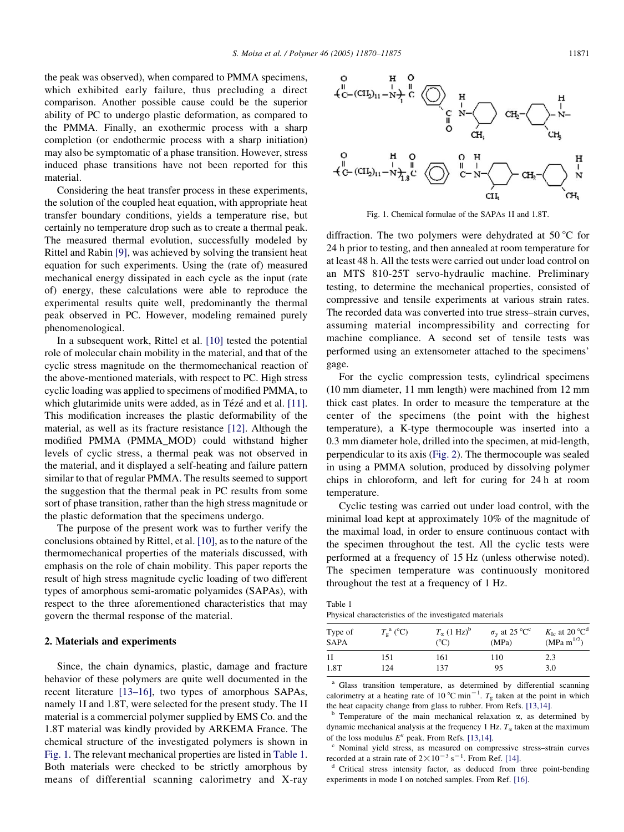<span id="page-1-0"></span>the peak was observed), when compared to PMMA specimens, which exhibited early failure, thus precluding a direct comparison. Another possible cause could be the superior ability of PC to undergo plastic deformation, as compared to the PMMA. Finally, an exothermic process with a sharp completion (or endothermic process with a sharp initiation) may also be symptomatic of a phase transition. However, stress induced phase transitions have not been reported for this material.

Considering the heat transfer process in these experiments, the solution of the coupled heat equation, with appropriate heat transfer boundary conditions, yields a temperature rise, but certainly no temperature drop such as to create a thermal peak. The measured thermal evolution, successfully modeled by Rittel and Rabin [\[9\]](#page-5-0), was achieved by solving the transient heat equation for such experiments. Using the (rate of) measured mechanical energy dissipated in each cycle as the input (rate of) energy, these calculations were able to reproduce the experimental results quite well, predominantly the thermal peak observed in PC. However, modeling remained purely phenomenological.

In a subsequent work, Rittel et al. [\[10\]](#page-5-0) tested the potential role of molecular chain mobility in the material, and that of the cyclic stress magnitude on the thermomechanical reaction of the above-mentioned materials, with respect to PC. High stress cyclic loading was applied to specimens of modified PMMA, to which glutarimide units were added, as in Tézé and et al. [\[11\]](#page-5-0). This modification increases the plastic deformability of the material, as well as its fracture resistance [\[12\].](#page-5-0) Although the modified PMMA (PMMA\_MOD) could withstand higher levels of cyclic stress, a thermal peak was not observed in the material, and it displayed a self-heating and failure pattern similar to that of regular PMMA. The results seemed to support the suggestion that the thermal peak in PC results from some sort of phase transition, rather than the high stress magnitude or the plastic deformation that the specimens undergo.

The purpose of the present work was to further verify the conclusions obtained by Rittel, et al. [\[10\],](#page-5-0) as to the nature of the thermomechanical properties of the materials discussed, with emphasis on the role of chain mobility. This paper reports the result of high stress magnitude cyclic loading of two different types of amorphous semi-aromatic polyamides (SAPAs), with respect to the three aforementioned characteristics that may govern the thermal response of the material.

#### 2. Materials and experiments

Since, the chain dynamics, plastic, damage and fracture behavior of these polymers are quite well documented in the recent literature [\[13–16\]](#page-5-0), two types of amorphous SAPAs, namely 1I and 1.8T, were selected for the present study. The 1I material is a commercial polymer supplied by EMS Co. and the 1.8T material was kindly provided by ARKEMA France. The chemical structure of the investigated polymers is shown in Fig. 1. The relevant mechanical properties are listed in Table 1. Both materials were checked to be strictly amorphous by means of differential scanning calorimetry and X-ray



Fig. 1. Chemical formulae of the SAPAs 1I and 1.8T.

diffraction. The two polymers were dehydrated at 50  $\degree$ C for 24 h prior to testing, and then annealed at room temperature for at least 48 h. All the tests were carried out under load control on an MTS 810-25T servo-hydraulic machine. Preliminary testing, to determine the mechanical properties, consisted of compressive and tensile experiments at various strain rates. The recorded data was converted into true stress–strain curves, assuming material incompressibility and correcting for machine compliance. A second set of tensile tests was performed using an extensometer attached to the specimens' gage.

For the cyclic compression tests, cylindrical specimens (10 mm diameter, 11 mm length) were machined from 12 mm thick cast plates. In order to measure the temperature at the center of the specimens (the point with the highest temperature), a K-type thermocouple was inserted into a 0.3 mm diameter hole, drilled into the specimen, at mid-length, perpendicular to its axis ([Fig. 2\)](#page-2-0). The thermocouple was sealed in using a PMMA solution, produced by dissolving polymer chips in chloroform, and left for curing for 24 h at room temperature.

Cyclic testing was carried out under load control, with the minimal load kept at approximately 10% of the magnitude of the maximal load, in order to ensure continuous contact with the specimen throughout the test. All the cyclic tests were performed at a frequency of 15 Hz (unless otherwise noted). The specimen temperature was continuously monitored throughout the test at a frequency of 1 Hz.

Table 1 Physical characteristics of the investigated materials

| Type of<br><b>SAPA</b> | $T_{\circ}^{\text{a}}$ (°C) | $T_{\alpha}$ (1 Hz) <sup>b</sup><br>$(^{\circ}C)$ | $\sigma_{\rm v}$ at 25 °C <sup>c</sup><br>(MPa) | $K_{\text{Ic}}$ at 20 °C <sup>d</sup><br>$(MPa \, m^{1/2})$ |
|------------------------|-----------------------------|---------------------------------------------------|-------------------------------------------------|-------------------------------------------------------------|
| 1I                     | 151                         | 161                                               | 110                                             | 2.3                                                         |
| 1.8T                   | 124                         | 137                                               | 95                                              | 3.0                                                         |

<sup>a</sup> Glass transition temperature, as determined by differential scanning calorimetry at a heating rate of 10 °C min<sup>-1</sup>.  $T_g$  taken at the point in which the heat capacity change from glass to rubber. From Refs. [\[13,14\]](#page-5-0).<br><sup>b</sup> Temperature of the main mechanical relaxation  $\alpha$ , as determined by

dynamic mechanical analysis at the frequency 1 Hz.  $T_{\alpha}$  taken at the maximum of the loss modulus  $E''$  peak. From Refs. [\[13,14\]](#page-5-0).<br><sup>c</sup> Nominal yield stress, as measured on compressive stress–strain curves

recorded at a strain rate of  $2 \times 10^{-3}$  s<sup>-1</sup>

 $\alpha$ <sup>d</sup> Critical stress intensity factor, as deduced from three point-bending experiments in mode I on notched samples. From Ref. [\[16\]](#page-5-0).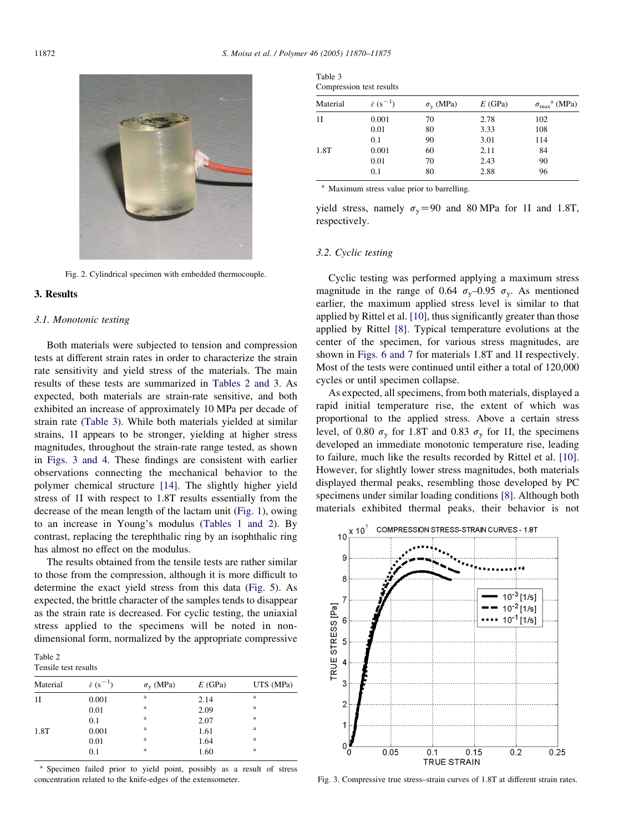<span id="page-2-0"></span>

Fig. 2. Cylindrical specimen with embedded thermocouple.

# 3. Results

## 3.1. Monotonic testing

Both materials were subjected to tension and compression tests at different strain rates in order to characterize the strain rate sensitivity and yield stress of the materials. The main results of these tests are summarized in Tables 2 and 3. As expected, both materials are strain-rate sensitive, and both exhibited an increase of approximately 10 MPa per decade of strain rate (Table 3). While both materials yielded at similar strains, 1I appears to be stronger, yielding at higher stress magnitudes, throughout the strain-rate range tested, as shown in Figs. 3 and 4. These findings are consistent with earlier observations connecting the mechanical behavior to the polymer chemical structure [\[14\]](#page-5-0). The slightly higher yield stress of 1I with respect to 1.8T results essentially from the decrease of the mean length of the lactam unit [\(Fig. 1](#page-1-0)), owing to an increase in Young's modulus [\(Tables 1 and 2](#page-1-0)). By contrast, replacing the terephthalic ring by an isophthalic ring has almost no effect on the modulus.

The results obtained from the tensile tests are rather similar to those from the compression, although it is more difficult to determine the exact yield stress from this data [\(Fig. 5\)](#page-3-0). As expected, the brittle character of the samples tends to disappear as the strain rate is decreased. For cyclic testing, the uniaxial stress applied to the specimens will be noted in nondimensional form, normalized by the appropriate compressive

Table 2 Tensile test results

| Material | $\dot{\varepsilon}$ (s <sup>-1</sup> ) | $\sigma_{\rm v}$ (MPa) | E(GPa) | UTS (MPa) |
|----------|----------------------------------------|------------------------|--------|-----------|
| 11       | 0.001                                  | a                      | 2.14   | a         |
|          | 0.01                                   | a                      | 2.09   | a         |
|          | 0.1                                    | a                      | 2.07   | a         |
| 1.8T     | 0.001                                  | a                      | 1.61   | a         |
|          | 0.01                                   | a                      | 1.64   | a         |
|          | 0.1                                    | a                      | 1.60   | a         |

<sup>a</sup> Specimen failed prior to yield point, possibly as a result of stress concentration related to the knife-edges of the extensometer.

| Table 3                  |  |
|--------------------------|--|
| Compression test results |  |

| Material | $\dot{\varepsilon}$ (s <sup>-1</sup> ) | $\sigma_{\rm v}$ (MPa) | E(GPa)       | $\sigma_{\text{max}}^{\text{a}}$ (MPa) |
|----------|----------------------------------------|------------------------|--------------|----------------------------------------|
| 11       | 0.001                                  | 70                     | 2.78         | 102                                    |
|          | 0.01<br>0.1                            | 80<br>90               | 3.33<br>3.01 | 108<br>114                             |
| 1.8T     | 0.001<br>0.01                          | 60<br>70               | 2.11<br>2.43 | 84<br>90                               |
|          | 0.1                                    | 80                     | 2.88         | 96                                     |

<sup>a</sup> Maximum stress value prior to barrelling.

yield stress, namely  $\sigma_{\rm v}$  = 90 and 80 MPa for 1I and 1.8T, respectively.

## 3.2. Cyclic testing

Cyclic testing was performed applying a maximum stress magnitude in the range of 0.64  $\sigma_{\rm v}$ –0.95  $\sigma_{\rm v}$ . As mentioned earlier, the maximum applied stress level is similar to that applied by Rittel et al. [\[10\],](#page-5-0) thus significantly greater than those applied by Rittel [\[8\]](#page-5-0). Typical temperature evolutions at the center of the specimen, for various stress magnitudes, are shown in [Figs. 6 and 7](#page-4-0) for materials 1.8T and 1I respectively. Most of the tests were continued until either a total of 120,000 cycles or until specimen collapse.

As expected, all specimens, from both materials, displayed a rapid initial temperature rise, the extent of which was proportional to the applied stress. Above a certain stress level, of 0.80  $\sigma_v$  for 1.8T and 0.83  $\sigma_v$  for 1I, the specimens developed an immediate monotonic temperature rise, leading to failure, much like the results recorded by Rittel et al. [\[10\]](#page-5-0). However, for slightly lower stress magnitudes, both materials displayed thermal peaks, resembling those developed by PC specimens under similar loading conditions [\[8\].](#page-5-0) Although both materials exhibited thermal peaks, their behavior is not



Fig. 3. Compressive true stress–strain curves of 1.8T at different strain rates.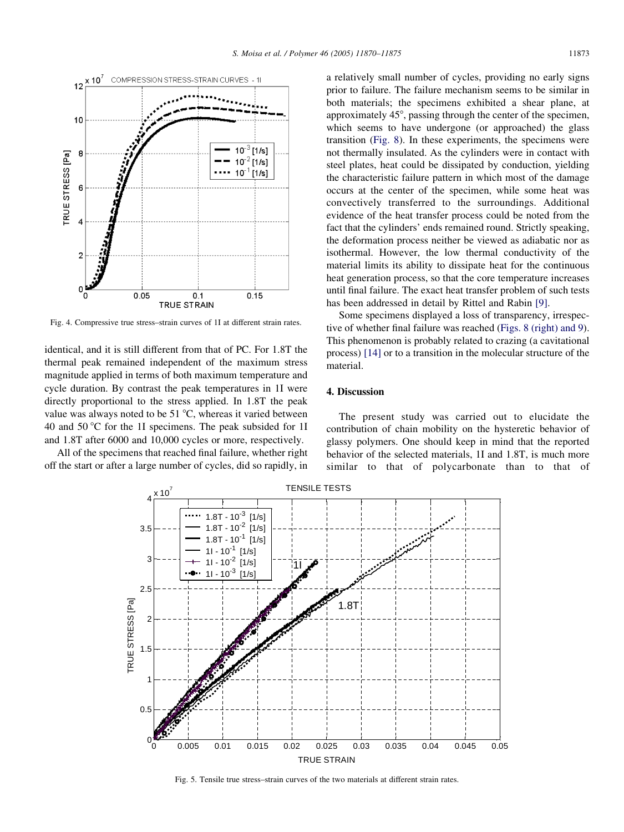<span id="page-3-0"></span>

Fig. 4. Compressive true stress–strain curves of 1I at different strain rates.

identical, and it is still different from that of PC. For 1.8T the thermal peak remained independent of the maximum stress magnitude applied in terms of both maximum temperature and cycle duration. By contrast the peak temperatures in 1I were directly proportional to the stress applied. In 1.8T the peak value was always noted to be  $51 \degree C$ , whereas it varied between 40 and 50  $\degree$ C for the 1I specimens. The peak subsided for 1I and 1.8T after 6000 and 10,000 cycles or more, respectively.

All of the specimens that reached final failure, whether right off the start or after a large number of cycles, did so rapidly, in

a relatively small number of cycles, providing no early signs prior to failure. The failure mechanism seems to be similar in both materials; the specimens exhibited a shear plane, at approximately 45°, passing through the center of the specimen, which seems to have undergone (or approached) the glass transition [\(Fig. 8\)](#page-5-0). In these experiments, the specimens were not thermally insulated. As the cylinders were in contact with steel plates, heat could be dissipated by conduction, yielding the characteristic failure pattern in which most of the damage occurs at the center of the specimen, while some heat was convectively transferred to the surroundings. Additional evidence of the heat transfer process could be noted from the fact that the cylinders' ends remained round. Strictly speaking, the deformation process neither be viewed as adiabatic nor as isothermal. However, the low thermal conductivity of the material limits its ability to dissipate heat for the continuous heat generation process, so that the core temperature increases until final failure. The exact heat transfer problem of such tests has been addressed in detail by Rittel and Rabin [\[9\].](#page-5-0)

Some specimens displayed a loss of transparency, irrespective of whether final failure was reached ([Figs. 8 \(right\) and 9\)](#page-5-0). This phenomenon is probably related to crazing (a cavitational process) [\[14\]](#page-5-0) or to a transition in the molecular structure of the material.

## 4. Discussion

The present study was carried out to elucidate the contribution of chain mobility on the hysteretic behavior of glassy polymers. One should keep in mind that the reported behavior of the selected materials, 1I and 1.8T, is much more similar to that of polycarbonate than to that of



Fig. 5. Tensile true stress–strain curves of the two materials at different strain rates.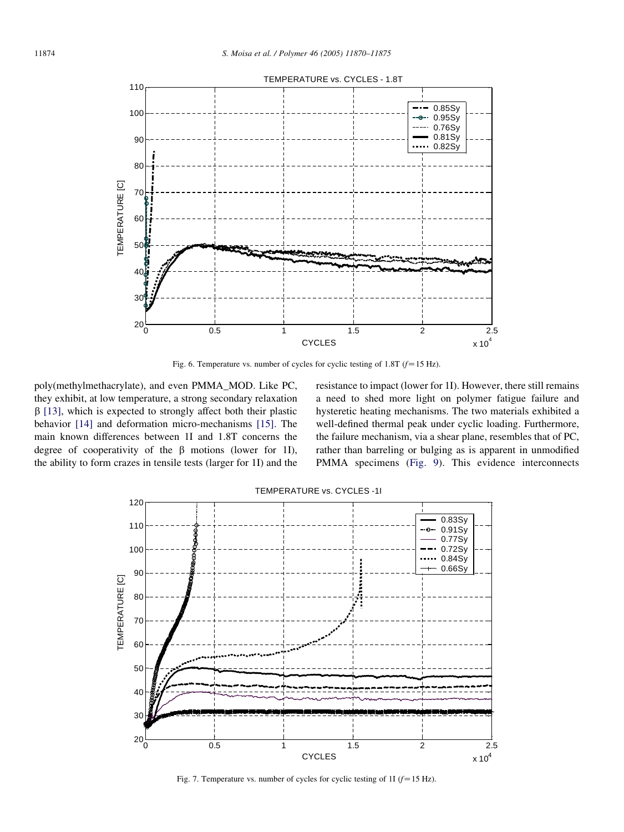<span id="page-4-0"></span>

Fig. 6. Temperature vs. number of cycles for cyclic testing of 1.8T ( $f=15$  Hz).

poly(methylmethacrylate), and even PMMA\_MOD. Like PC, they exhibit, at low temperature, a strong secondary relaxation  $\beta$  [\[13\]](#page-5-0), which is expected to strongly affect both their plastic behavior [\[14\]](#page-5-0) and deformation micro-mechanisms [\[15\].](#page-5-0) The main known differences between 1I and 1.8T concerns the degree of cooperativity of the  $\beta$  motions (lower for 1I), the ability to form crazes in tensile tests (larger for 1I) and the

resistance to impact (lower for 1I). However, there still remains a need to shed more light on polymer fatigue failure and hysteretic heating mechanisms. The two materials exhibited a well-defined thermal peak under cyclic loading. Furthermore, the failure mechanism, via a shear plane, resembles that of PC, rather than barreling or bulging as is apparent in unmodified PMMA specimens ([Fig. 9\)](#page-5-0). This evidence interconnects



Fig. 7. Temperature vs. number of cycles for cyclic testing of 1I ( $f=15$  Hz).